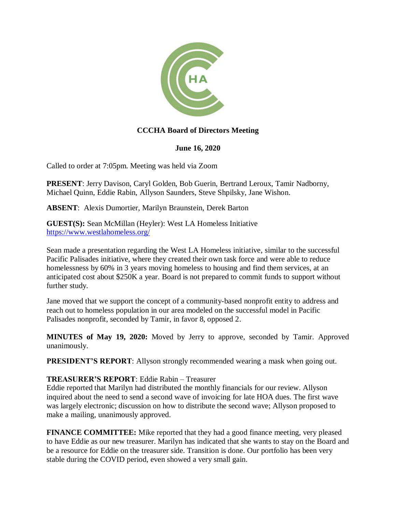

### **CCCHA Board of Directors Meeting**

#### **June 16, 2020**

Called to order at 7:05pm. Meeting was held via Zoom

**PRESENT**: Jerry Davison, Caryl Golden, Bob Guerin, Bertrand Leroux, Tamir Nadborny, Michael Quinn, Eddie Rabin, Allyson Saunders, Steve Shpilsky, Jane Wishon.

**ABSENT**: Alexis Dumortier, Marilyn Braunstein, Derek Barton

**GUEST(S):** Sean McMillan (Heyler): West LA Homeless Initiative <https://www.westlahomeless.org/>

Sean made a presentation regarding the West LA Homeless initiative, similar to the successful Pacific Palisades initiative, where they created their own task force and were able to reduce homelessness by 60% in 3 years moving homeless to housing and find them services, at an anticipated cost about \$250K a year. Board is not prepared to commit funds to support without further study.

Jane moved that we support the concept of a community-based nonprofit entity to address and reach out to homeless population in our area modeled on the successful model in Pacific Palisades nonprofit, seconded by Tamir, in favor 8, opposed 2.

**MINUTES of May 19, 2020:** Moved by Jerry to approve, seconded by Tamir. Approved unanimously.

**PRESIDENT'S REPORT:** Allyson strongly recommended wearing a mask when going out.

#### **TREASURER'S REPORT**: Eddie Rabin – Treasurer

Eddie reported that Marilyn had distributed the monthly financials for our review. Allyson inquired about the need to send a second wave of invoicing for late HOA dues. The first wave was largely electronic; discussion on how to distribute the second wave; Allyson proposed to make a mailing, unanimously approved.

**FINANCE COMMITTEE:** Mike reported that they had a good finance meeting, very pleased to have Eddie as our new treasurer. Marilyn has indicated that she wants to stay on the Board and be a resource for Eddie on the treasurer side. Transition is done. Our portfolio has been very stable during the COVID period, even showed a very small gain.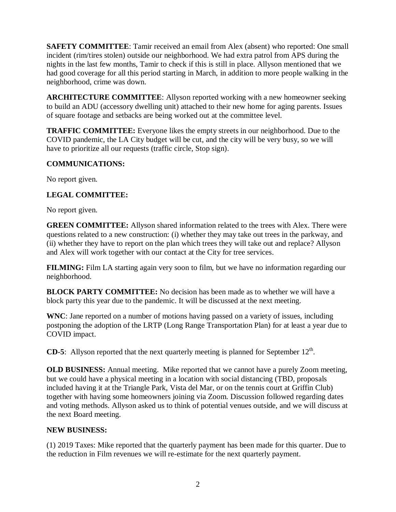**SAFETY COMMITTEE:** Tamir received an email from Alex (absent) who reported: One small incident (rim/tires stolen) outside our neighborhood. We had extra patrol from APS during the nights in the last few months, Tamir to check if this is still in place. Allyson mentioned that we had good coverage for all this period starting in March, in addition to more people walking in the neighborhood, crime was down.

**ARCHITECTURE COMMITTEE**: Allyson reported working with a new homeowner seeking to build an ADU (accessory dwelling unit) attached to their new home for aging parents. Issues of square footage and setbacks are being worked out at the committee level.

**TRAFFIC COMMITTEE:** Everyone likes the empty streets in our neighborhood. Due to the COVID pandemic, the LA City budget will be cut, and the city will be very busy, so we will have to prioritize all our requests (traffic circle, Stop sign).

#### **COMMUNICATIONS:**

No report given.

### **LEGAL COMMITTEE:**

No report given.

**GREEN COMMITTEE:** Allyson shared information related to the trees with Alex. There were questions related to a new construction: (i) whether they may take out trees in the parkway, and (ii) whether they have to report on the plan which trees they will take out and replace? Allyson and Alex will work together with our contact at the City for tree services.

**FILMING:** Film LA starting again very soon to film, but we have no information regarding our neighborhood.

**BLOCK PARTY COMMITTEE:** No decision has been made as to whether we will have a block party this year due to the pandemic. It will be discussed at the next meeting.

**WNC**: Jane reported on a number of motions having passed on a variety of issues, including postponing the adoption of the LRTP (Long Range Transportation Plan) for at least a year due to COVID impact.

**CD-5**: Allyson reported that the next quarterly meeting is planned for September  $12<sup>th</sup>$ .

**OLD BUSINESS:** Annual meeting. Mike reported that we cannot have a purely Zoom meeting, but we could have a physical meeting in a location with social distancing (TBD, proposals included having it at the Triangle Park, Vista del Mar, or on the tennis court at Griffin Club) together with having some homeowners joining via Zoom. Discussion followed regarding dates and voting methods. Allyson asked us to think of potential venues outside, and we will discuss at the next Board meeting.

# **NEW BUSINESS:**

(1) 2019 Taxes: Mike reported that the quarterly payment has been made for this quarter. Due to the reduction in Film revenues we will re-estimate for the next quarterly payment.